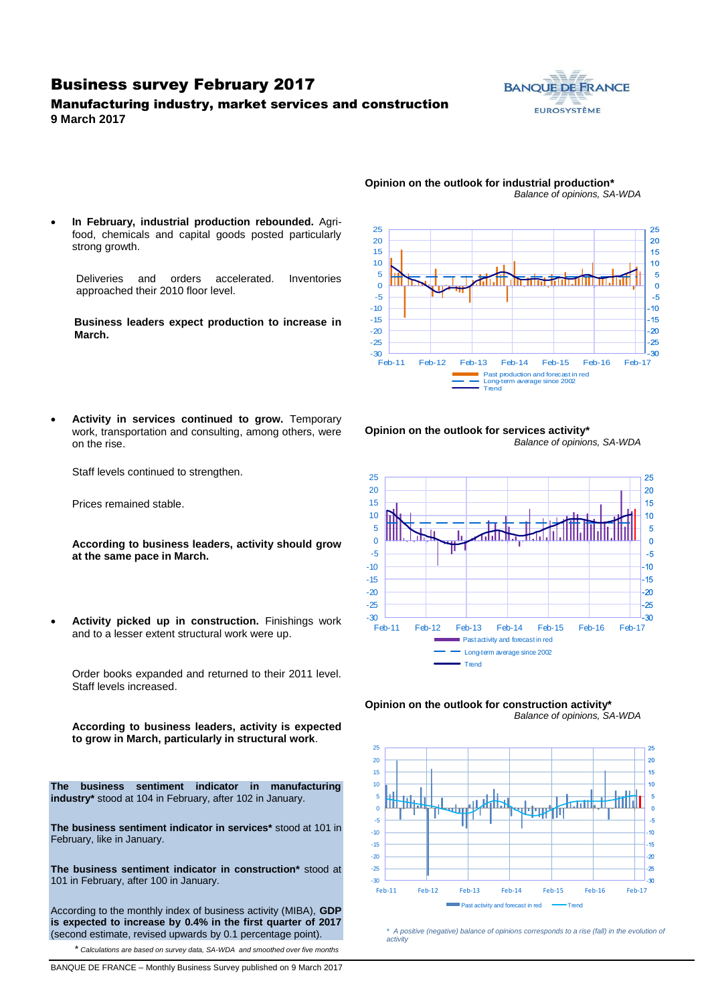### Business survey February 2017

### Manufacturing industry, market services and construction **9 March 2017**



- 25 25 20 20 15 15 10  $10$ 5  $\overline{5}$  $\Omega$  $\Omega$ -5  $-5$ -10  $10<sup>10</sup>$ -15  $-15$ -20  $-20$  $-25$ -25  $-30$   $-$ -30 Feb-11 Feb-12 Feb-13 Feb-14 Feb-15 Feb-16 Feb-17 Past production and forecast in red Long-term average since 2002 Trend
- **In February, industrial production rebounded.** Agrifood, chemicals and capital goods posted particularly strong growth.

Deliveries and orders accelerated. Inventories approached their 2010 floor level.

**Business leaders expect production to increase in March.**

 **Activity in services continued to grow.** Temporary work, transportation and consulting, among others, were on the rise.

Staff levels continued to strengthen.

Prices remained stable.

**According to business leaders, activity should grow at the same pace in March.**

 **Activity picked up in construction.** Finishings work and to a lesser extent structural work were up.

Order books expanded and returned to their 2011 level. Staff levels increased.

**According to business leaders, activity is expected to grow in March, particularly in structural work**.

**The business sentiment indicator in manufacturing industry\*** stood at 104 in February, after 102 in January.

**The business sentiment indicator in services\*** stood at 101 in February, like in January.

**The business sentiment indicator in construction\*** stood at 101 in February, after 100 in January.

According to the monthly index of business activity (MIBA), **GDP is expected to increase by 0.4% in the first quarter of 2017** (second estimate, revised upwards by 0.1 percentage point).

\* *Calculations are based on survey data, SA-WDA and smoothed over five months*

**Opinion on the outlook for services activity\*** *Balance of opinions, SA-WDA*







*\* A positive (negative) balance of opinions corresponds to a rise (fall) in the evolution of activity*

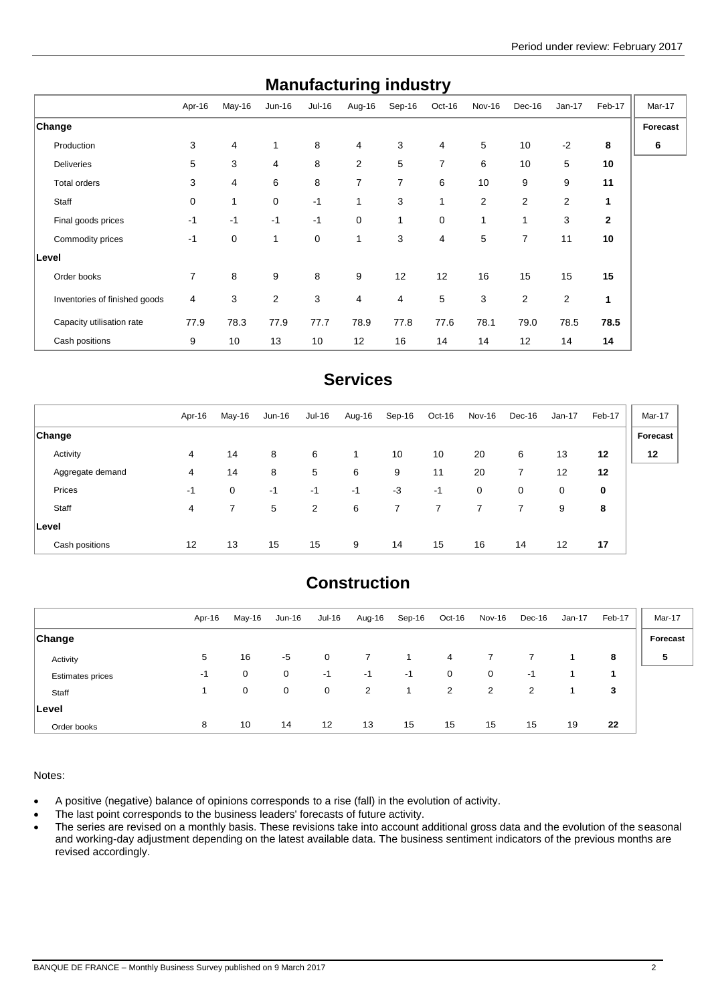| manuracturniy muusti y        |        |        |              |        |                |        |                |                |                |                |              |          |
|-------------------------------|--------|--------|--------------|--------|----------------|--------|----------------|----------------|----------------|----------------|--------------|----------|
|                               | Apr-16 | May-16 | Jun-16       | Jul-16 | Aug-16         | Sep-16 | Oct-16         | Nov-16         | Dec-16         | $Jan-17$       | Feb-17       | Mar-17   |
| ∣Change                       |        |        |              |        |                |        |                |                |                |                |              | Forecast |
| Production                    | 3      | 4      | $\mathbf{1}$ | 8      | 4              | 3      | 4              | 5              | 10             | $-2$           | 8            | 6        |
| <b>Deliveries</b>             | 5      | 3      | 4            | 8      | $\overline{2}$ | 5      | $\overline{7}$ | 6              | 10             | 5              | 10           |          |
| Total orders                  | 3      | 4      | 6            | 8      | 7              | 7      | 6              | 10             | 9              | 9              | 11           |          |
| Staff                         | 0      | 1      | $\mathbf 0$  | $-1$   | $\mathbf{1}$   | 3      | 1              | $\overline{2}$ | $\overline{2}$ | $\overline{2}$ | 1            |          |
| Final goods prices            | $-1$   | $-1$   | $-1$         | $-1$   | 0              | 1      | $\mathbf 0$    | 1              | 1              | 3              | $\mathbf{2}$ |          |
| Commodity prices              | $-1$   | 0      | 1            | 0      | $\mathbf{1}$   | 3      | 4              | 5              | $\overline{7}$ | 11             | 10           |          |
| Level                         |        |        |              |        |                |        |                |                |                |                |              |          |
| Order books                   | 7      | 8      | 9            | 8      | 9              | 12     | 12             | 16             | 15             | 15             | 15           |          |
| Inventories of finished goods | 4      | 3      | 2            | 3      | 4              | 4      | 5              | 3              | 2              | 2              | 1            |          |
| Capacity utilisation rate     | 77.9   | 78.3   | 77.9         | 77.7   | 78.9           | 77.8   | 77.6           | 78.1           | 79.0           | 78.5           | 78.5         |          |
| Cash positions                | 9      | 10     | 13           | 10     | 12             | 16     | 14             | 14             | 12             | 14             | 14           |          |

## **Manufacturing industry**

## **Services**

|                  | Apr-16 | May-16      | Jun-16 | Jul-16 | Aug-16 | Sep-16 | Oct-16 | Nov-16 | Dec-16 | Jan-17 | Feb-17 | Mar-17   |
|------------------|--------|-------------|--------|--------|--------|--------|--------|--------|--------|--------|--------|----------|
| <b>Change</b>    |        |             |        |        |        |        |        |        |        |        |        | Forecast |
| Activity         | 4      | 14          | 8      | 6      | 1.     | 10     | 10     | 20     | 6      | 13     | 12     | 12       |
| Aggregate demand | 4      | 14          | 8      | 5      | 6      | 9      | 11     | 20     | 7      | 12     | 12     |          |
| Prices           | -1     | $\mathbf 0$ | -1     | $-1$   | -1     | $-3$   | $-1$   | 0      | 0      | 0      | 0      |          |
| Staff            | 4      |             | 5      | 2      | 6      | 7      |        |        |        | 9      | 8      |          |
| <b>Level</b>     |        |             |        |        |        |        |        |        |        |        |        |          |
| Cash positions   | 12     | 13          | 15     | 15     | 9      | 14     | 15     | 16     | 14     | 12     | 17     |          |

## **Construction**

|                         | Apr-16 | May-16 | Jun-16      | Jul-16            | Aug-16 | Sep-16 | Oct-16 | Nov-16 | Dec-16         | $Jan-17$ | Feb-17 | Mar-17   |
|-------------------------|--------|--------|-------------|-------------------|--------|--------|--------|--------|----------------|----------|--------|----------|
| <b>Change</b>           |        |        |             |                   |        |        |        |        |                |          |        | Forecast |
| Activity                | 5      | 16     | $-5$        | 0                 |        |        | 4      |        |                |          | 8      | 5        |
| <b>Estimates prices</b> | -1     | 0      | $\mathbf 0$ | $-1$              | $-1$   | $-1$   | 0      | 0      | -1             |          |        |          |
| Staff                   |        | 0      | $\mathbf 0$ | 0                 | 2      |        | 2      | 2      | $\overline{2}$ |          | 3      |          |
| Level                   |        |        |             |                   |        |        |        |        |                |          |        |          |
| Order books             | 8      | 10     | 14          | $12 \overline{ }$ | 13     | 15     | 15     | 15     | 15             | 19       | 22     |          |

Notes:

A positive (negative) balance of opinions corresponds to a rise (fall) in the evolution of activity.

• The last point corresponds to the business leaders' forecasts of future activity.

• The series are revised on a monthly basis. These revisions take into account additional gross data and the evolution of the seasonal and working-day adjustment depending on the latest available data. The business sentiment indicators of the previous months are revised accordingly.